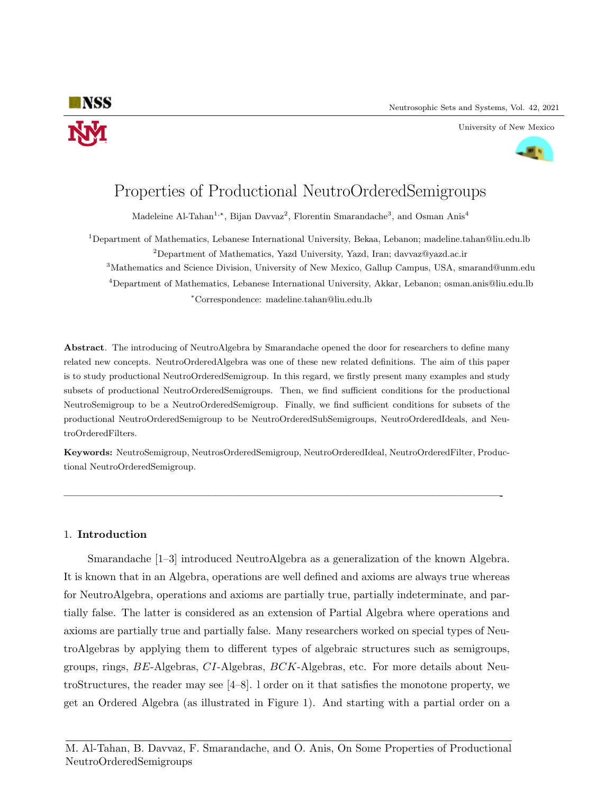

#### University of New Mexico



# Properties of Productional NeutroOrderedSemigroups

Madeleine Al-Tahan<sup>1,\*</sup>, Bijan Davvaz<sup>2</sup>, Florentin Smarandache<sup>3</sup>, and Osman Anis<sup>4</sup>

<sup>1</sup>Department of Mathematics, Lebanese International University, Bekaa, Lebanon; madeline.tahan@liu.edu.lb <sup>2</sup>Department of Mathematics, Yazd University, Yazd, Iran; davvaz@yazd.ac.ir

<sup>3</sup>Mathematics and Science Division, University of New Mexico, Gallup Campus, USA, smarand@unm.edu <sup>4</sup>Department of Mathematics, Lebanese International University, Akkar, Lebanon; osman.anis@liu.edu.lb

<sup>∗</sup>Correspondence: madeline.tahan@liu.edu.lb

Abstract. The introducing of NeutroAlgebra by Smarandache opened the door for researchers to define many related new concepts. NeutroOrderedAlgebra was one of these new related definitions. The aim of this paper is to study productional NeutroOrderedSemigroup. In this regard, we firstly present many examples and study subsets of productional NeutroOrderedSemigroups. Then, we find sufficient conditions for the productional NeutroSemigroup to be a NeutroOrderedSemigroup. Finally, we find sufficient conditions for subsets of the productional NeutroOrderedSemigroup to be NeutroOrderedSubSemigroups, NeutroOrderedIdeals, and NeutroOrderedFilters.

Keywords: NeutroSemigroup, NeutrosOrderedSemigroup, NeutroOrderedIdeal, NeutroOrderedFilter, Productional NeutroOrderedSemigroup.

—————————————————————————————————————————-

## 1. Introduction

Smarandache [1–3] introduced NeutroAlgebra as a generalization of the known Algebra. It is known that in an Algebra, operations are well defined and axioms are always true whereas for NeutroAlgebra, operations and axioms are partially true, partially indeterminate, and partially false. The latter is considered as an extension of Partial Algebra where operations and axioms are partially true and partially false. Many researchers worked on special types of NeutroAlgebras by applying them to different types of algebraic structures such as semigroups, groups, rings, BE-Algebras, CI-Algebras, BCK-Algebras, etc. For more details about NeutroStructures, the reader may see [4–8]. l order on it that satisfies the monotone property, we get an Ordered Algebra (as illustrated in Figure 1). And starting with a partial order on a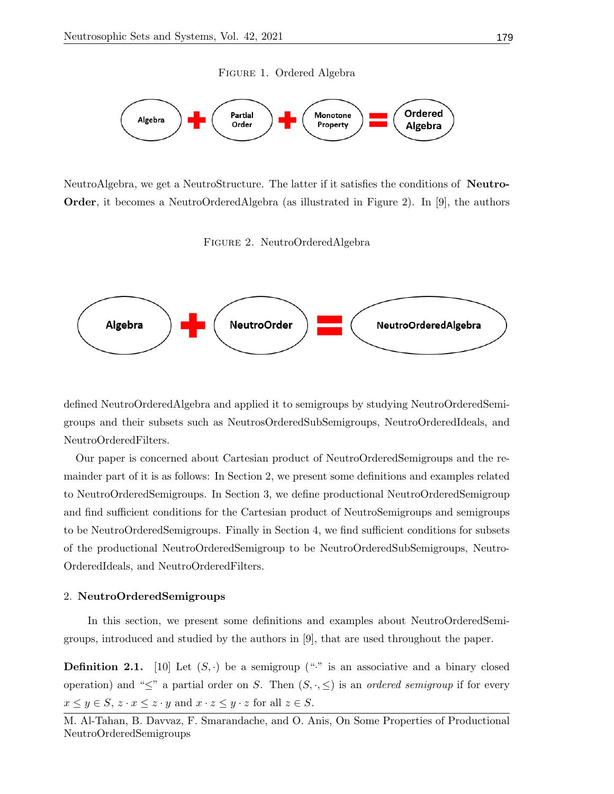Figure 1. Ordered Algebra



NeutroAlgebra, we get a NeutroStructure. The latter if it satisfies the conditions of Neutro-Order, it becomes a NeutroOrderedAlgebra (as illustrated in Figure 2). In [9], the authors

Figure 2. NeutroOrderedAlgebra



defined NeutroOrderedAlgebra and applied it to semigroups by studying NeutroOrderedSemigroups and their subsets such as NeutrosOrderedSubSemigroups, NeutroOrderedIdeals, and NeutroOrderedFilters.

Our paper is concerned about Cartesian product of NeutroOrderedSemigroups and the remainder part of it is as follows: In Section 2, we present some definitions and examples related to NeutroOrderedSemigroups. In Section 3, we define productional NeutroOrderedSemigroup and find sufficient conditions for the Cartesian product of NeutroSemigroups and semigroups to be NeutroOrderedSemigroups. Finally in Section 4, we find sufficient conditions for subsets of the productional NeutroOrderedSemigroup to be NeutroOrderedSubSemigroups, Neutro-OrderedIdeals, and NeutroOrderedFilters.

### 2. NeutroOrderedSemigroups

In this section, we present some definitions and examples about NeutroOrderedSemigroups, introduced and studied by the authors in [9], that are used throughout the paper.

**Definition 2.1.** [10] Let  $(S, \cdot)$  be a semigroup ("." is an associative and a binary closed operation) and " $\leq$ " a partial order on S. Then  $(S, \cdot, \leq)$  is an *ordered semigroup* if for every  $x \leq y \in S$ ,  $z \cdot x \leq z \cdot y$  and  $x \cdot z \leq y \cdot z$  for all  $z \in S$ .

M. Al-Tahan, B. Davvaz, F. Smarandache, and O. Anis, On Some Properties of Productional NeutroOrderedSemigroups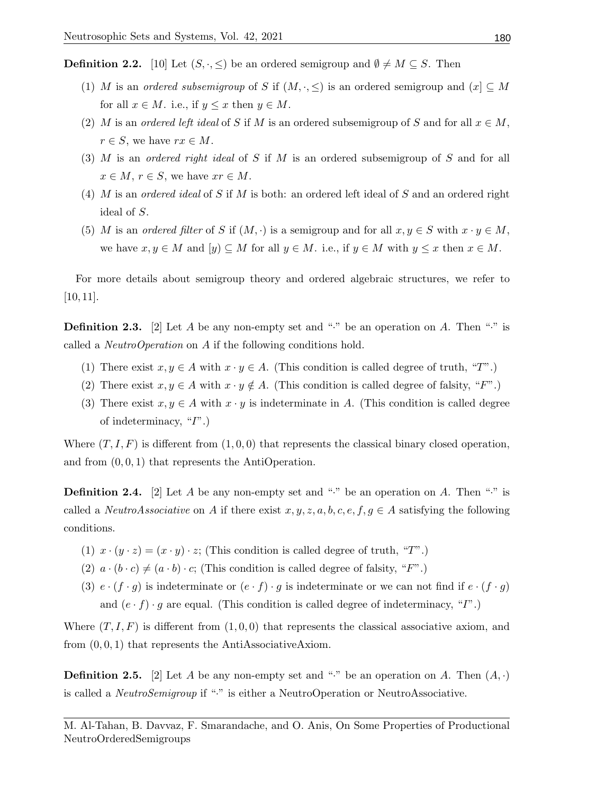**Definition 2.2.** [10] Let  $(S, \cdot, \leq)$  be an ordered semigroup and  $\emptyset \neq M \subseteq S$ . Then

- (1) M is an ordered subsemigroup of S if  $(M, \cdot, \leq)$  is an ordered semigroup and  $(x) \subseteq M$ for all  $x \in M$ . i.e., if  $y \leq x$  then  $y \in M$ .
- (2) M is an ordered left ideal of S if M is an ordered subsemigroup of S and for all  $x \in M$ ,  $r \in S$ , we have  $rx \in M$ .
- (3) M is an ordered right ideal of S if M is an ordered subsemigroup of S and for all  $x \in M$ ,  $r \in S$ , we have  $xr \in M$ .
- (4) M is an ordered ideal of S if M is both: an ordered left ideal of S and an ordered right ideal of S.
- (5) M is an ordered filter of S if  $(M, \cdot)$  is a semigroup and for all  $x, y \in S$  with  $x \cdot y \in M$ , we have  $x, y \in M$  and  $[y] \subseteq M$  for all  $y \in M$ . i.e., if  $y \in M$  with  $y \leq x$  then  $x \in M$ .

For more details about semigroup theory and ordered algebraic structures, we refer to [10, 11].

**Definition 2.3.** [2] Let A be any non-empty set and "." be an operation on A. Then "." is called a NeutroOperation on A if the following conditions hold.

- (1) There exist  $x, y \in A$  with  $x \cdot y \in A$ . (This condition is called degree of truth, "T".)
- (2) There exist  $x, y \in A$  with  $x \cdot y \notin A$ . (This condition is called degree of falsity, "F".)
- (3) There exist  $x, y \in A$  with  $x \cdot y$  is indeterminate in A. (This condition is called degree of indeterminacy, "I".)

Where  $(T, I, F)$  is different from  $(1, 0, 0)$  that represents the classical binary closed operation, and from  $(0, 0, 1)$  that represents the AntiOperation.

**Definition 2.4.** [2] Let A be any non-empty set and "." be an operation on A. Then "." is called a *NeutroAssociative* on A if there exist  $x, y, z, a, b, c, e, f, g \in A$  satisfying the following conditions.

- (1)  $x \cdot (y \cdot z) = (x \cdot y) \cdot z$ ; (This condition is called degree of truth, "T".)
- (2)  $a \cdot (b \cdot c) \neq (a \cdot b) \cdot c$ ; (This condition is called degree of falsity, "F".)
- (3)  $e \cdot (f \cdot g)$  is indeterminate or  $(e \cdot f) \cdot g$  is indeterminate or we can not find if  $e \cdot (f \cdot g)$ and  $(e \cdot f) \cdot g$  are equal. (This condition is called degree of indeterminacy, "T".)

Where  $(T, I, F)$  is different from  $(1, 0, 0)$  that represents the classical associative axiom, and from  $(0, 0, 1)$  that represents the AntiAssociativeAxiom.

**Definition 2.5.** [2] Let A be any non-empty set and "." be an operation on A. Then  $(A, \cdot)$ is called a NeutroSemigroup if "·" is either a NeutroOperation or NeutroAssociative.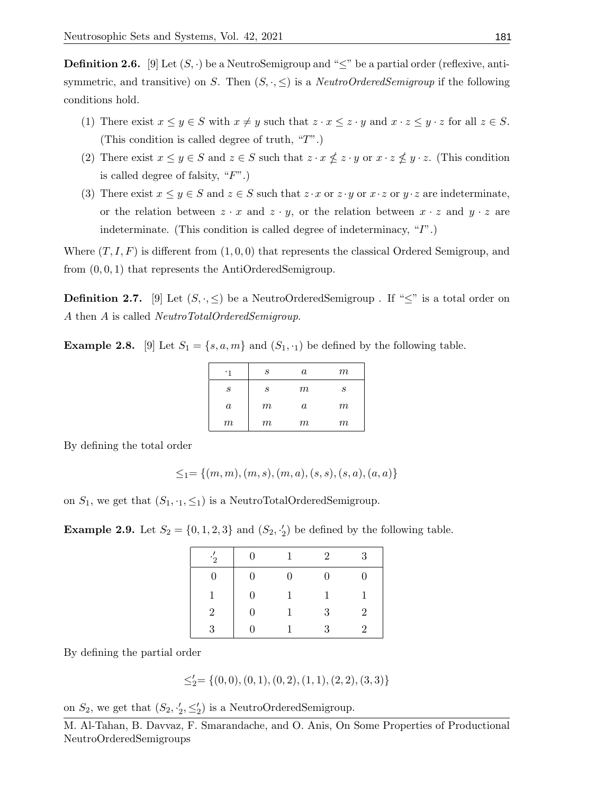**Definition 2.6.** [9] Let  $(S, \cdot)$  be a NeutroSemigroup and " $\leq$ " be a partial order (reflexive, antisymmetric, and transitive) on S. Then  $(S, \cdot, \leq)$  is a *NeutroOrderedSemigroup* if the following conditions hold.

- (1) There exist  $x \leq y \in S$  with  $x \neq y$  such that  $z \cdot x \leq z \cdot y$  and  $x \cdot z \leq y \cdot z$  for all  $z \in S$ . (This condition is called degree of truth, "T".)
- (2) There exist  $x \leq y \in S$  and  $z \in S$  such that  $z \cdot x \nleq z \cdot y$  or  $x \cdot z \nleq y \cdot z$ . (This condition is called degree of falsity,  $"F"$ .)
- (3) There exist  $x \leq y \in S$  and  $z \in S$  such that  $z \cdot x$  or  $z \cdot y$  or  $x \cdot z$  or  $y \cdot z$  are indeterminate, or the relation between  $z \cdot x$  and  $z \cdot y$ , or the relation between  $x \cdot z$  and  $y \cdot z$  are indeterminate. (This condition is called degree of indeterminacy, "I".)

Where  $(T, I, F)$  is different from  $(1, 0, 0)$  that represents the classical Ordered Semigroup, and from (0, 0, 1) that represents the AntiOrderedSemigroup.

**Definition 2.7.** [9] Let  $(S, \cdot, \leq)$  be a NeutroOrderedSemigroup . If " $\leq$ " is a total order on A then A is called NeutroTotalOrderedSemigroup.

**Example 2.8.** [9] Let  $S_1 = \{s, a, m\}$  and  $(S_1, \cdot_1)$  be defined by the following table.

| ۰1      | S     | $\boldsymbol{a}$ | $\,m$ |
|---------|-------|------------------|-------|
| S       | S     | $\,m$            | S     |
| $\it a$ | $\,m$ | $\boldsymbol{a}$ | $m\,$ |
| $\,m$   | $\,m$ | $\,m$            | $m\,$ |

By defining the total order

$$
\leq_1=\{(m,m),(m,s),(m,a),(s,s),(s,a),(a,a)\}
$$

on  $S_1$ , we get that  $(S_1, \cdot_1, \leq_1)$  is a NeutroTotalOrderedSemigroup.

**Example 2.9.** Let  $S_2 = \{0, 1, 2, 3\}$  and  $(S_2, \frac{1}{2})$  be defined by the following table.

| $\cdot \frac{7}{2}$ | $\Omega$       | 1        | $\overline{2}$ | 3                           |
|---------------------|----------------|----------|----------------|-----------------------------|
| 0                   | $\overline{0}$ | $\theta$ | $\theta$       | 0                           |
| 1                   | 0              |          | 1              |                             |
| $\overline{2}$      | 0              |          | 3              | $\overline{2}$              |
| २                   |                |          | 3              | $\mathcal{D}_{\mathcal{L}}$ |

By defining the partial order

$$
\leq_2'=\{(0,0),(0,1),(0,2),(1,1),(2,2),(3,3)\}
$$

on  $S_2$ , we get that  $(S_2, \frac{1}{2}, \leq_2')$  is a NeutroOrderedSemigroup.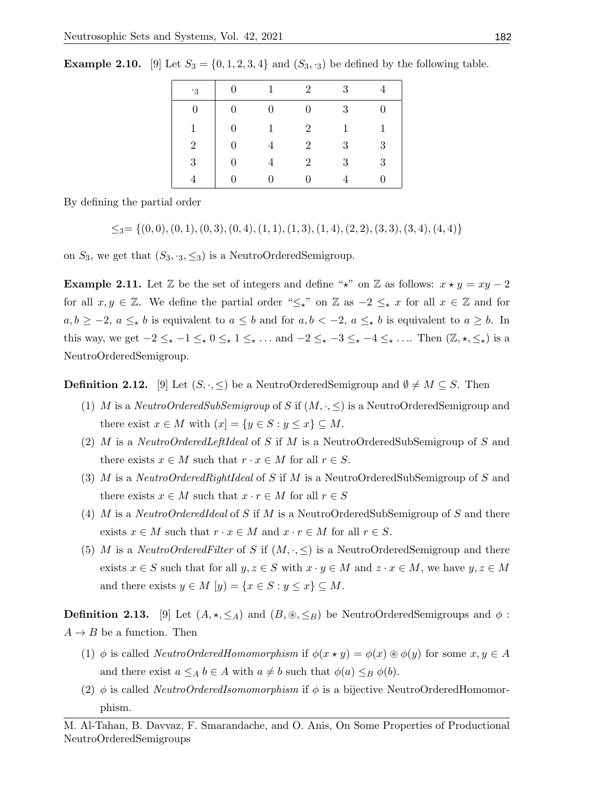| .3             | $\Omega$       | 1              | $\overline{2}$ | 3 |   |
|----------------|----------------|----------------|----------------|---|---|
| $\overline{0}$ | $\overline{0}$ | $\overline{0}$ | $\overline{0}$ | 3 |   |
| 1              | $\Omega$       | 1              | $\overline{2}$ | 1 | 1 |
| 2              |                |                | $\overline{2}$ | 3 | 3 |
| 3              | $\theta$       |                | $\overline{2}$ | 3 | 3 |
|                |                | ∩              | O              |   |   |

**Example 2.10.** [9] Let  $S_3 = \{0, 1, 2, 3, 4\}$  and  $(S_3, \cdot_3)$  be defined by the following table.

By defining the partial order

$$
\leq_3=\{(0,0),(0,1),(0,3),(0,4),(1,1),(1,3),(1,4),(2,2),(3,3),(3,4),(4,4)\}
$$

on  $S_3$ , we get that  $(S_3, \cdot_3, \leq_3)$  is a NeutroOrderedSemigroup.

**Example 2.11.** Let  $\mathbb{Z}$  be the set of integers and define " $\star$ " on  $\mathbb{Z}$  as follows:  $x \star y = xy - 2$ for all  $x, y \in \mathbb{Z}$ . We define the partial order " $\leq x$ " on  $\mathbb{Z}$  as  $-2 \leq x$  for all  $x \in \mathbb{Z}$  and for  $a, b \ge -2, a \le \star b$  is equivalent to  $a \le b$  and for  $a, b < -2, a \le \star b$  is equivalent to  $a \ge b$ . In this way, we get  $-2 \leq_{\star} -1 \leq_{\star} 0 \leq_{\star} 1 \leq_{\star} \ldots$  and  $-2 \leq_{\star} -3 \leq_{\star} -4 \leq_{\star} \ldots$  Then  $(\mathbb{Z}, \star, \leq_{\star})$  is a NeutroOrderedSemigroup.

**Definition 2.12.** [9] Let  $(S, \cdot, \leq)$  be a NeutroOrderedSemigroup and  $\emptyset \neq M \subseteq S$ . Then

- (1) M is a NeutroOrderedSubSemigroup of S if  $(M, \cdot, \leq)$  is a NeutroOrderedSemigroup and there exist  $x \in M$  with  $(x] = \{y \in S : y \leq x\} \subseteq M$ .
- (2) M is a NeutroOrderedLeftIdeal of S if M is a NeutroOrderedSubSemigroup of S and there exists  $x \in M$  such that  $r \cdot x \in M$  for all  $r \in S$ .
- (3) M is a NeutroOrderedRightIdeal of S if M is a NeutroOrderedSubSemigroup of S and there exists  $x \in M$  such that  $x \cdot r \in M$  for all  $r \in S$
- (4) M is a NeutroOrderedIdeal of S if M is a NeutroOrderedSubSemigroup of S and there exists  $x \in M$  such that  $r \cdot x \in M$  and  $x \cdot r \in M$  for all  $r \in S$ .
- (5) M is a NeutroOrderedFilter of S if  $(M, \cdot, \leq)$  is a NeutroOrderedSemigroup and there exists  $x \in S$  such that for all  $y, z \in S$  with  $x \cdot y \in M$  and  $z \cdot x \in M$ , we have  $y, z \in M$ and there exists  $y \in M$   $[y] = \{x \in S : y \leq x\} \subseteq M$ .

**Definition 2.13.** [9] Let  $(A, \star, \leq_A)$  and  $(B, \otimes, \leq_B)$  be NeutroOrderedSemigroups and  $\phi$ :  $A \rightarrow B$  be a function. Then

- (1)  $\phi$  is called NeutroOrderedHomomorphism if  $\phi(x \star y) = \phi(x) \circledast \phi(y)$  for some  $x, y \in A$ and there exist  $a \leq_A b \in A$  with  $a \neq b$  such that  $\phi(a) \leq_B \phi(b)$ .
- (2)  $\phi$  is called *NeutroOrderedIsomomorphism* if  $\phi$  is a bijective NeutroOrderedHomomorphism.

M. Al-Tahan, B. Davvaz, F. Smarandache, and O. Anis, On Some Properties of Productional NeutroOrderedSemigroups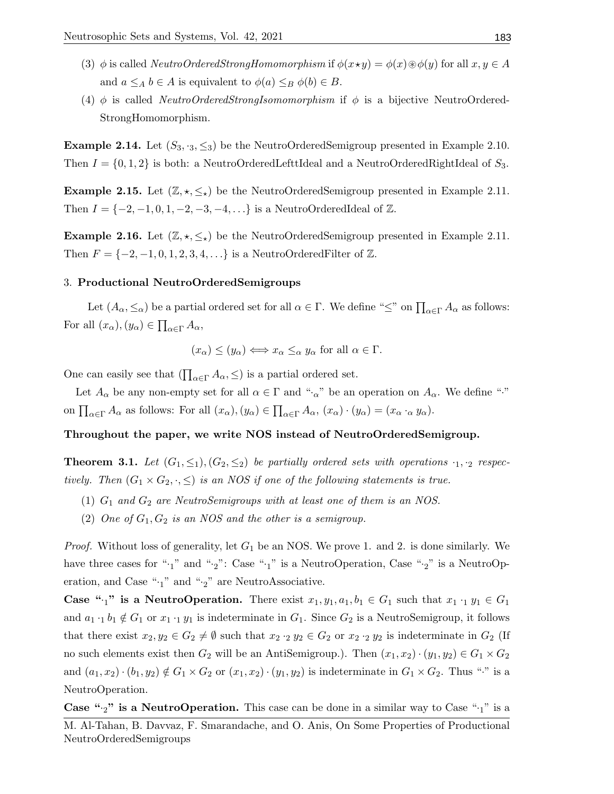- (3)  $\phi$  is called *NeutroOrderedStrongHomomorphism* if  $\phi(x \star y) = \phi(x) \circledast \phi(y)$  for all  $x, y \in A$ and  $a \leq_A b \in A$  is equivalent to  $\phi(a) \leq_B \phi(b) \in B$ .
- (4) φ is called NeutroOrderedStrongIsomomorphism if  $\phi$  is a bijective NeutroOrdered-StrongHomomorphism.

**Example 2.14.** Let  $(S_3, S_3, \leq_S)$  be the NeutroOrderedSemigroup presented in Example 2.10. Then  $I = \{0, 1, 2\}$  is both: a NeutroOrderedLefttIdeal and a NeutroOrderedRightIdeal of  $S_3$ .

**Example 2.15.** Let  $(\mathbb{Z}, \star, \leq_{\star})$  be the NeutroOrderedSemigroup presented in Example 2.11. Then  $I = \{-2, -1, 0, 1, -2, -3, -4, ...\}$  is a NeutroOrderedIdeal of  $\mathbb{Z}$ .

**Example 2.16.** Let  $(\mathbb{Z}, \star, \leq_{\star})$  be the NeutroOrderedSemigroup presented in Example 2.11. Then  $F = \{-2, -1, 0, 1, 2, 3, 4, \ldots\}$  is a NeutroOrderedFilter of  $\mathbb{Z}$ .

#### 3. Productional NeutroOrderedSemigroups

Let  $(A_\alpha, \leq_\alpha)$  be a partial ordered set for all  $\alpha \in \Gamma$ . We define " $\leq$ " on  $\prod_{\alpha \in \Gamma} A_\alpha$  as follows: For all  $(x_{\alpha}), (y_{\alpha}) \in \prod_{\alpha \in \Gamma} A_{\alpha},$ 

$$
(x_{\alpha}) \leq (y_{\alpha}) \Longleftrightarrow x_{\alpha} \leq_{\alpha} y_{\alpha} \text{ for all } \alpha \in \Gamma.
$$

One can easily see that  $(\prod_{\alpha \in \Gamma} A_{\alpha}, \leq)$  is a partial ordered set.

Let  $A_{\alpha}$  be any non-empty set for all  $\alpha \in \Gamma$  and " $\alpha$ " be an operation on  $A_{\alpha}$ . We define "." on  $\prod_{\alpha \in \Gamma} A_{\alpha}$  as follows: For all  $(x_{\alpha}), (y_{\alpha}) \in \prod_{\alpha \in \Gamma} A_{\alpha}, (x_{\alpha}) \cdot (y_{\alpha}) = (x_{\alpha} \cdot_{\alpha} y_{\alpha}).$ 

## Throughout the paper, we write NOS instead of NeutroOrderedSemigroup.

**Theorem 3.1.** Let  $(G_1, \leq_1), (G_2, \leq_2)$  be partially ordered sets with operations  $\cdot_1, \cdot_2$  respectively. Then  $(G_1 \times G_2, \cdot, \leq)$  is an NOS if one of the following statements is true.

- (1)  $G_1$  and  $G_2$  are NeutroSemigroups with at least one of them is an NOS.
- (2) One of  $G_1, G_2$  is an NOS and the other is a semigroup.

*Proof.* Without loss of generality, let  $G_1$  be an NOS. We prove 1. and 2. is done similarly. We have three cases for " $\cdot_1$ " and " $\cdot_2$ ": Case " $\cdot_1$ " is a NeutroOperation, Case " $\cdot_2$ " is a NeutroOperation, and Case " $\cdot_1$ " and " $\cdot_2$ " are NeutroAssociative.

**Case "** $\cdot_1$ " is a NeutroOperation. There exist  $x_1, y_1, a_1, b_1 \in G_1$  such that  $x_1 \cdot_1 y_1 \in G_1$ and  $a_1 \cdot_1 b_1 \notin G_1$  or  $x_1 \cdot_1 y_1$  is indeterminate in  $G_1$ . Since  $G_2$  is a NeutroSemigroup, it follows that there exist  $x_2, y_2 \in G_2 \neq \emptyset$  such that  $x_2 \cdot_2 y_2 \in G_2$  or  $x_2 \cdot_2 y_2$  is indeterminate in  $G_2$  (If no such elements exist then  $G_2$  will be an AntiSemigroup.). Then  $(x_1, x_2) \cdot (y_1, y_2) \in G_1 \times G_2$ and  $(a_1, x_2) \cdot (b_1, y_2) \notin G_1 \times G_2$  or  $(x_1, x_2) \cdot (y_1, y_2)$  is indeterminate in  $G_1 \times G_2$ . Thus "." is a NeutroOperation.

**Case "** $\cdot$ <sub>2</sub>" is a NeutroOperation. This case can be done in a similar way to Case " $\cdot$ <sub>1</sub>" is a

M. Al-Tahan, B. Davvaz, F. Smarandache, and O. Anis, On Some Properties of Productional NeutroOrderedSemigroups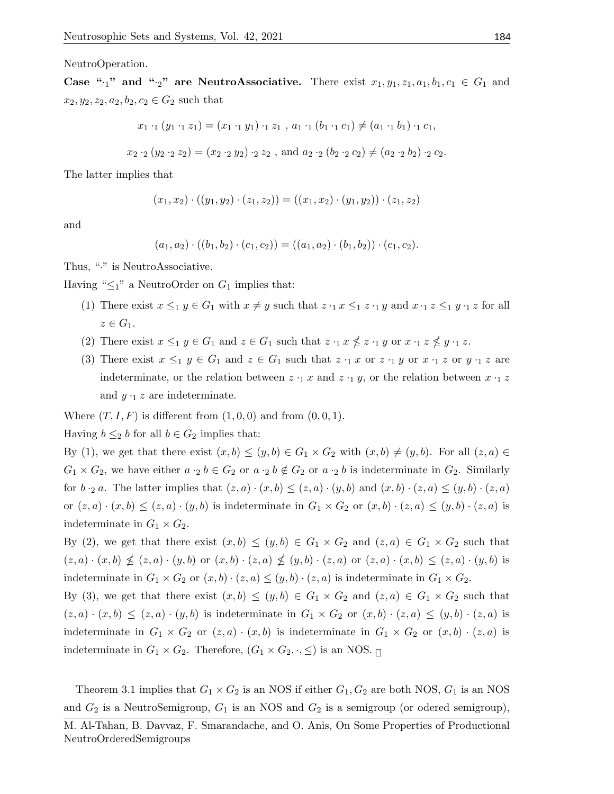NeutroOperation.

Case " $\cdot_1$ " and " $\cdot_2$ " are NeutroAssociative. There exist  $x_1, y_1, z_1, a_1, b_1, c_1 \in G_1$  and  $x_2, y_2, z_2, a_2, b_2, c_2 \in G_2$  such that

$$
x_1 \cdot_1 (y_1 \cdot_1 z_1) = (x_1 \cdot_1 y_1) \cdot_1 z_1 , a_1 \cdot_1 (b_1 \cdot_1 c_1) \neq (a_1 \cdot_1 b_1) \cdot_1 c_1,
$$

$$
x_2 \cdot_2 (y_2 \cdot_2 z_2) = (x_2 \cdot_2 y_2) \cdot_2 z_2
$$
, and  $a_2 \cdot_2 (b_2 \cdot_2 c_2) \neq (a_2 \cdot_2 b_2) \cdot_2 c_2$ .

The latter implies that

$$
(x_1, x_2) \cdot ((y_1, y_2) \cdot (z_1, z_2)) = ((x_1, x_2) \cdot (y_1, y_2)) \cdot (z_1, z_2)
$$

and

$$
(a_1, a_2) \cdot ((b_1, b_2) \cdot (c_1, c_2)) = ((a_1, a_2) \cdot (b_1, b_2)) \cdot (c_1, c_2).
$$

Thus, "." is NeutroAssociative.

Having " $\leq_1$ " a NeutroOrder on  $G_1$  implies that:

- (1) There exist  $x \leq_1 y \in G_1$  with  $x \neq y$  such that  $z \cdot_1 x \leq_1 z \cdot_1 y$  and  $x \cdot_1 z \leq_1 y \cdot_1 z$  for all  $z \in G_1$ .
- (2) There exist  $x \leq_1 y \in G_1$  and  $z \in G_1$  such that  $z \cdot_1 x \nleq z \cdot_1 y$  or  $x \cdot_1 z \nleq y \cdot_1 z$ .
- (3) There exist  $x \leq_1 y \in G_1$  and  $z \in G_1$  such that  $z \cdot_1 x$  or  $z \cdot_1 y$  or  $x \cdot_1 z$  or  $y \cdot_1 z$  are indeterminate, or the relation between  $z \cdot_1 x$  and  $z \cdot_1 y$ , or the relation between  $x \cdot_1 z$ and  $y \cdot_1 z$  are indeterminate.

Where  $(T, I, F)$  is different from  $(1, 0, 0)$  and from  $(0, 0, 1)$ .

Having  $b \leq_2 b$  for all  $b \in G_2$  implies that:

By (1), we get that there exist  $(x, b) \le (y, b) \in G_1 \times G_2$  with  $(x, b) \ne (y, b)$ . For all  $(z, a) \in$  $G_1 \times G_2$ , we have either  $a \cdot_2 b \in G_2$  or  $a \cdot_2 b \notin G_2$  or  $a \cdot_2 b$  is indeterminate in  $G_2$ . Similarly for  $b \cdot_2 a$ . The latter implies that  $(z, a) \cdot (x, b) \leq (z, a) \cdot (y, b)$  and  $(x, b) \cdot (z, a) \leq (y, b) \cdot (z, a)$ or  $(z, a) \cdot (x, b) \le (z, a) \cdot (y, b)$  is indeterminate in  $G_1 \times G_2$  or  $(x, b) \cdot (z, a) \le (y, b) \cdot (z, a)$  is indeterminate in  $G_1 \times G_2$ .

By (2), we get that there exist  $(x, b) \le (y, b) \in G_1 \times G_2$  and  $(z, a) \in G_1 \times G_2$  such that  $(z, a) \cdot (x, b) \nleq (z, a) \cdot (y, b)$  or  $(x, b) \cdot (z, a) \nleq (y, b) \cdot (z, a)$  or  $(z, a) \cdot (x, b) \leq (z, a) \cdot (y, b)$  is indeterminate in  $G_1 \times G_2$  or  $(x, b) \cdot (z, a) \le (y, b) \cdot (z, a)$  is indeterminate in  $G_1 \times G_2$ .

By (3), we get that there exist  $(x, b) \le (y, b) \in G_1 \times G_2$  and  $(z, a) \in G_1 \times G_2$  such that  $(z, a) \cdot (x, b) \leq (z, a) \cdot (y, b)$  is indeterminate in  $G_1 \times G_2$  or  $(x, b) \cdot (z, a) \leq (y, b) \cdot (z, a)$  is indeterminate in  $G_1 \times G_2$  or  $(z, a) \cdot (x, b)$  is indeterminate in  $G_1 \times G_2$  or  $(x, b) \cdot (z, a)$  is indeterminate in  $G_1 \times G_2$ . Therefore,  $(G_1 \times G_2, \cdot, \leq)$  is an NOS.

Theorem 3.1 implies that  $G_1 \times G_2$  is an NOS if either  $G_1, G_2$  are both NOS,  $G_1$  is an NOS and  $G_2$  is a NeutroSemigroup,  $G_1$  is an NOS and  $G_2$  is a semigroup (or odered semigroup),

M. Al-Tahan, B. Davvaz, F. Smarandache, and O. Anis, On Some Properties of Productional NeutroOrderedSemigroups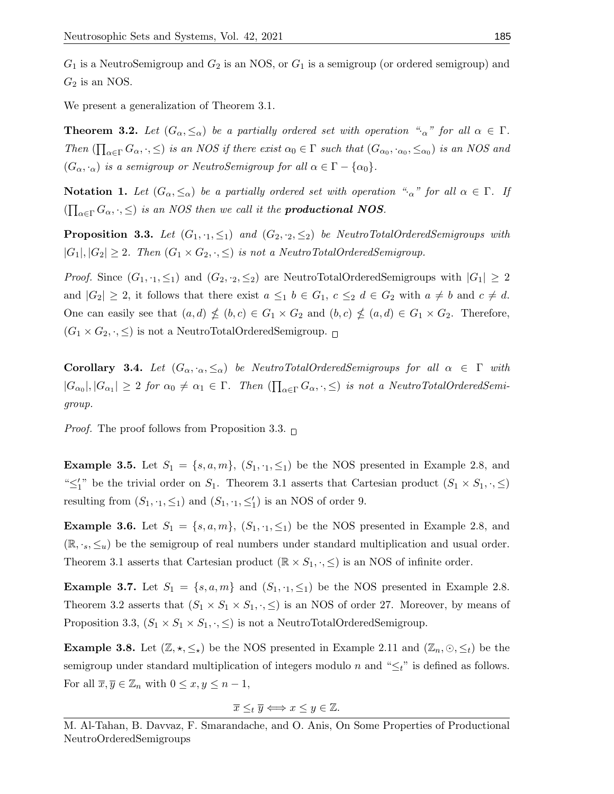$G_1$  is a NeutroSemigroup and  $G_2$  is an NOS, or  $G_1$  is a semigroup (or ordered semigroup) and  $G_2$  is an NOS.

We present a generalization of Theorem 3.1.

**Theorem 3.2.** Let  $(G_\alpha, \leq_\alpha)$  be a partially ordered set with operation " $\alpha$ " for all  $\alpha \in \Gamma$ . Then  $(\prod_{\alpha\in\Gamma}G_{\alpha},\cdot,\leq)$  is an NOS if there exist  $\alpha_0 \in \Gamma$  such that  $(G_{\alpha_0},\cdot_{\alpha_0},\leq_{\alpha_0})$  is an NOS and  $(G_{\alpha}, \cdot_{\alpha})$  is a semigroup or NeutroSemigroup for all  $\alpha \in \Gamma - \{\alpha_0\}.$ 

**Notation 1.** Let  $(G_\alpha, \le_\alpha)$  be a partially ordered set with operation " $\alpha$ " for all  $\alpha \in \Gamma$ . If  $\left(\prod_{\alpha \in \Gamma} G_{\alpha}, \cdot, \leq \right)$  is an NOS then we call it the **productional NOS**.

**Proposition 3.3.** Let  $(G_1, \cdot_1, \leq_1)$  and  $(G_2, \cdot_2, \leq_2)$  be NeutroTotalOrderedSemigroups with  $|G_1|, |G_2| \geq 2$ . Then  $(G_1 \times G_2, \cdot, \leq)$  is not a NeutroTotalOrderedSemigroup.

*Proof.* Since  $(G_1, \cdot_1, \leq_1)$  and  $(G_2, \cdot_2, \leq_2)$  are NeutroTotalOrderedSemigroups with  $|G_1| \geq 2$ and  $|G_2| \geq 2$ , it follows that there exist  $a \leq_1 b \in G_1$ ,  $c \leq_2 d \in G_2$  with  $a \neq b$  and  $c \neq d$ . One can easily see that  $(a,d) \nleq (b,c) \in G_1 \times G_2$  and  $(b,c) \nleq (a,d) \in G_1 \times G_2$ . Therefore,  $(G_1 \times G_2, \cdot, \leq)$  is not a NeutroTotalOrderedSemigroup.  $\Box$ 

**Corollary 3.4.** Let  $(G_{\alpha}, \cdot_{\alpha}, \leq_{\alpha})$  be NeutroTotalOrderedSemigroups for all  $\alpha \in \Gamma$  with  $|G_{\alpha_0}|, |G_{\alpha_1}| \geq 2$  for  $\alpha_0 \neq \alpha_1 \in \Gamma$ . Then  $(\prod_{\alpha \in \Gamma} G_{\alpha}, \cdot, \leq)$  is not a NeutroTotalOrderedSemigroup.

*Proof.* The proof follows from Proposition 3.3.  $\Box$ 

**Example 3.5.** Let  $S_1 = \{s, a, m\}$ ,  $(S_1, \cdot_1, \leq_1)$  be the NOS presented in Example 2.8, and " $\leq_1'$ " be the trivial order on  $S_1$ . Theorem 3.1 asserts that Cartesian product  $(S_1 \times S_1, \cdot, \leq)$ resulting from  $(S_1, \cdot_1, \leq_1)$  and  $(S_1, \cdot_1, \leq'_1)$  is an NOS of order 9.

**Example 3.6.** Let  $S_1 = \{s, a, m\}$ ,  $(S_1, \cdot_1, \leq_1)$  be the NOS presented in Example 2.8, and  $(\mathbb{R}, \cdot_s, \leq_u)$  be the semigroup of real numbers under standard multiplication and usual order. Theorem 3.1 asserts that Cartesian product  $(\mathbb{R} \times S_1, \cdot, \leq)$  is an NOS of infinite order.

**Example 3.7.** Let  $S_1 = \{s, a, m\}$  and  $(S_1, \cdot_1, \leq_1)$  be the NOS presented in Example 2.8. Theorem 3.2 asserts that  $(S_1 \times S_1 \times S_1, \cdot, \leq)$  is an NOS of order 27. Moreover, by means of Proposition 3.3,  $(S_1 \times S_1 \times S_1, \cdot, \leq)$  is not a NeutroTotalOrderedSemigroup.

**Example 3.8.** Let  $(\mathbb{Z}, \star, \leq_{\star})$  be the NOS presented in Example 2.11 and  $(\mathbb{Z}_n, \odot, \leq_t)$  be the semigroup under standard multiplication of integers modulo n and " $\leq_t$ " is defined as follows. For all  $\overline{x}, \overline{y} \in \mathbb{Z}_n$  with  $0 \leq x, y \leq n-1$ ,

$$
\overline{x} \leq_t \overline{y} \Longleftrightarrow x \leq y \in \mathbb{Z}.
$$

M. Al-Tahan, B. Davvaz, F. Smarandache, and O. Anis, On Some Properties of Productional NeutroOrderedSemigroups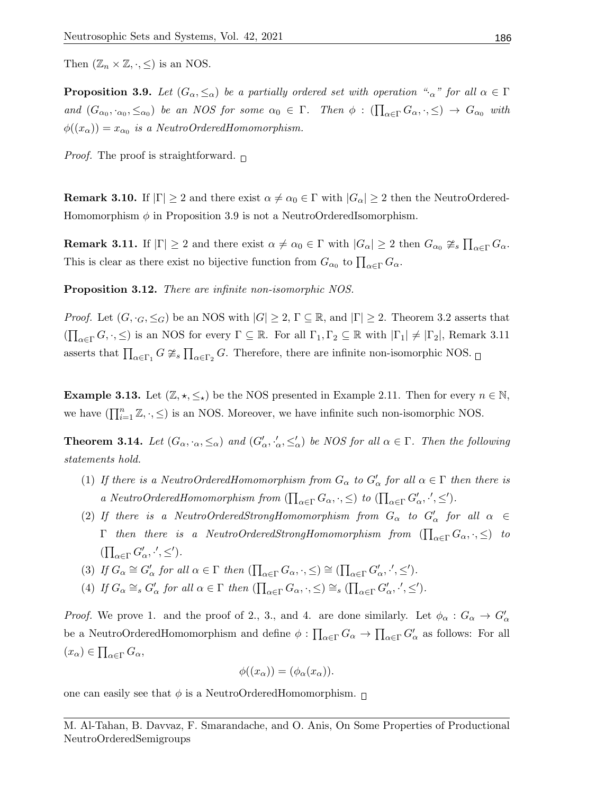Then  $(\mathbb{Z}_n \times \mathbb{Z}, \cdot, \leq)$  is an NOS.

**Proposition 3.9.** Let  $(G_\alpha, \leq_\alpha)$  be a partially ordered set with operation " $\alpha$ " for all  $\alpha \in \Gamma$ and  $(G_{\alpha_0}, \cdot_{\alpha_0}, \leq_{\alpha_0})$  be an NOS for some  $\alpha_0 \in \Gamma$ . Then  $\phi : (\prod_{\alpha \in \Gamma} G_{\alpha}, \cdot, \leq) \to G_{\alpha_0}$  with  $\phi((x_{\alpha}))=x_{\alpha_0}$  is a NeutroOrderedHomomorphism.

*Proof.* The proof is straightforward.  $\Box$ 

**Remark 3.10.** If  $|\Gamma| \geq 2$  and there exist  $\alpha \neq \alpha_0 \in \Gamma$  with  $|G_{\alpha}| \geq 2$  then the NeutroOrdered-Homomorphism  $\phi$  in Proposition 3.9 is not a NeutroOrderedIsomorphism.

**Remark 3.11.** If  $|\Gamma| \geq 2$  and there exist  $\alpha \neq \alpha_0 \in \Gamma$  with  $|G_{\alpha}| \geq 2$  then  $G_{\alpha_0} \ncong_s \prod_{\alpha \in \Gamma} G_{\alpha}$ . This is clear as there exist no bijective function from  $G_{\alpha_0}$  to  $\prod_{\alpha \in \Gamma} G_{\alpha}$ .

Proposition 3.12. There are infinite non-isomorphic NOS.

*Proof.* Let  $(G, \cdot_G, \leq_G)$  be an NOS with  $|G| \geq 2$ ,  $\Gamma \subseteq \mathbb{R}$ , and  $|\Gamma| \geq 2$ . Theorem 3.2 asserts that  $(\prod_{\alpha \in \Gamma} G,\cdot,\leq)$  is an NOS for every  $\Gamma \subseteq \mathbb{R}$ . For all  $\Gamma_1, \Gamma_2 \subseteq \mathbb{R}$  with  $|\Gamma_1| \neq |\Gamma_2|$ , Remark 3.11 asserts that  $\prod_{\alpha \in \Gamma_1} G \ncong_s \prod_{\alpha \in \Gamma_2} G$ . Therefore, there are infinite non-isomorphic NOS.

**Example 3.13.** Let  $(\mathbb{Z}, \star, \leq_{\star})$  be the NOS presented in Example 2.11. Then for every  $n \in \mathbb{N}$ , we have  $(\prod_{i=1}^n \mathbb{Z}, \cdot, \leq)$  is an NOS. Moreover, we have infinite such non-isomorphic NOS.

**Theorem 3.14.** Let  $(G_{\alpha}, \cdot_{\alpha}, \leq_{\alpha})$  and  $(G'_{\alpha}, \cdot'_{\alpha}, \leq'_{\alpha})$  be NOS for all  $\alpha \in \Gamma$ . Then the following statements hold.

- (1) If there is a NeutroOrderedHomomorphism from  $G_{\alpha}$  to  $G'_{\alpha}$  for all  $\alpha \in \Gamma$  then there is a NeutroOrderedHomomorphism from  $(\prod_{\alpha \in \Gamma} G_{\alpha}, \cdot, \leq)$  to  $(\prod_{\alpha \in \Gamma} G'_{\alpha}, \cdot', \leq')$ .
- (2) If there is a NeutroOrderedStrongHomomorphism from  $G_{\alpha}$  to  $G'_{\alpha}$  for all  $\alpha \in$  $\Gamma$  then there is a NeutroOrderedStrongHomomorphism from  $(\prod_{\alpha\in \Gamma}G_{\alpha},\cdot,\leq)$  to  $(\prod_{\alpha \in \Gamma} G'_{\alpha}, \cdot', \leq').$
- (3) If  $G_{\alpha} \cong G'_{\alpha}$  for all  $\alpha \in \Gamma$  then  $(\prod_{\alpha \in \Gamma} G_{\alpha}, \cdot, \leq) \cong (\prod_{\alpha \in \Gamma} G'_{\alpha}, \cdot', \leq').$
- (4) If  $G_{\alpha} \cong_{s} G'_{\alpha}$  for all  $\alpha \in \Gamma$  then  $(\prod_{\alpha \in \Gamma} G_{\alpha}, \cdot, \leq) \cong_{s} (\prod_{\alpha \in \Gamma} G'_{\alpha}, \cdot', \leq').$

*Proof.* We prove 1. and the proof of 2., 3., and 4. are done similarly. Let  $\phi_{\alpha}: G_{\alpha} \to G_{\alpha}'$ be a NeutroOrderedHomomorphism and define  $\phi : \prod_{\alpha \in \Gamma} G_{\alpha} \to \prod_{\alpha \in \Gamma} G_{\alpha}'$  as follows: For all  $(x_{\alpha}) \in \prod_{\alpha \in \Gamma} G_{\alpha},$ 

$$
\phi((x_{\alpha})) = (\phi_{\alpha}(x_{\alpha})).
$$

one can easily see that  $\phi$  is a NeutroOrderedHomomorphism.  $\Box$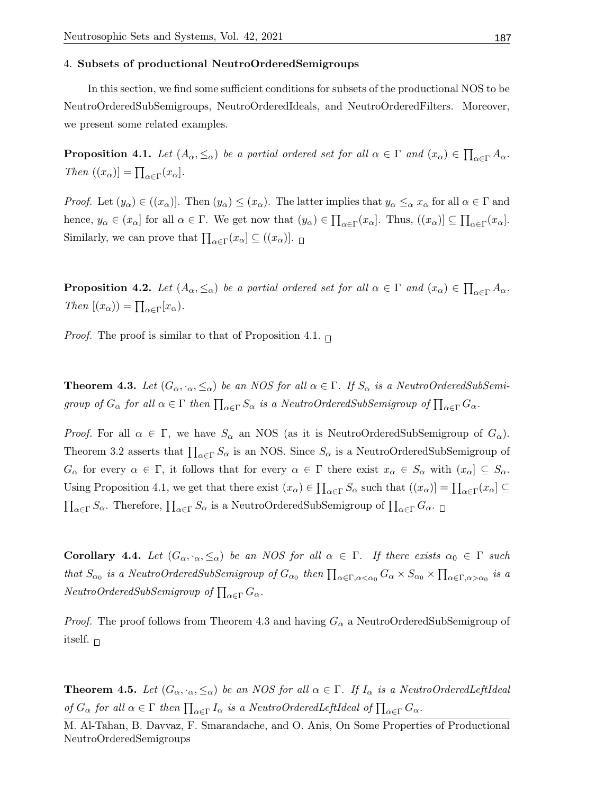### 4. Subsets of productional NeutroOrderedSemigroups

In this section, we find some sufficient conditions for subsets of the productional NOS to be NeutroOrderedSubSemigroups, NeutroOrderedIdeals, and NeutroOrderedFilters. Moreover, we present some related examples.

**Proposition 4.1.** Let  $(A_{\alpha}, \le_{\alpha})$  be a partial ordered set for all  $\alpha \in \Gamma$  and  $(x_{\alpha}) \in \prod_{\alpha \in \Gamma} A_{\alpha}$ . Then  $((x_{\alpha})] = \prod_{\alpha \in \Gamma} (x_{\alpha}).$ 

*Proof.* Let  $(y_\alpha) \in ((x_\alpha)]$ . Then  $(y_\alpha) \leq (x_\alpha)$ . The latter implies that  $y_\alpha \leq_\alpha x_\alpha$  for all  $\alpha \in \Gamma$  and hence,  $y_{\alpha} \in (x_{\alpha}]$  for all  $\alpha \in \Gamma$ . We get now that  $(y_{\alpha}) \in \prod_{\alpha \in \Gamma} (x_{\alpha}]$ . Thus,  $((x_{\alpha})] \subseteq \prod_{\alpha \in \Gamma} (x_{\alpha}]$ . Similarly, we can prove that  $\prod_{\alpha \in \Gamma} (x_{\alpha}) \subseteq ((x_{\alpha})]$ .

**Proposition 4.2.** Let  $(A_{\alpha}, \le_{\alpha})$  be a partial ordered set for all  $\alpha \in \Gamma$  and  $(x_{\alpha}) \in \prod_{\alpha \in \Gamma} A_{\alpha}$ . Then  $[(x_{\alpha})) = \prod_{\alpha \in \Gamma} [x_{\alpha}).$ 

*Proof.* The proof is similar to that of Proposition 4.1.  $\Box$ 

**Theorem 4.3.** Let  $(G_{\alpha}, \cdot_{\alpha}, \leq_{\alpha})$  be an NOS for all  $\alpha \in \Gamma$ . If  $S_{\alpha}$  is a NeutroOrderedSubSemigroup of  $G_{\alpha}$  for all  $\alpha \in \Gamma$  then  $\prod_{\alpha \in \Gamma} S_{\alpha}$  is a NeutroOrderedSubSemigroup of  $\prod_{\alpha \in \Gamma} G_{\alpha}$ .

*Proof.* For all  $\alpha \in \Gamma$ , we have  $S_{\alpha}$  an NOS (as it is NeutroOrderedSubSemigroup of  $G_{\alpha}$ ). Theorem 3.2 asserts that  $\prod_{\alpha \in \Gamma} S_{\alpha}$  is an NOS. Since  $S_{\alpha}$  is a NeutroOrderedSubSemigroup of  $G_{\alpha}$  for every  $\alpha \in \Gamma$ , it follows that for every  $\alpha \in \Gamma$  there exist  $x_{\alpha} \in S_{\alpha}$  with  $(x_{\alpha}) \subseteq S_{\alpha}$ . Using Proposition 4.1, we get that there exist  $(x_\alpha) \in \prod_{\alpha \in \Gamma} S_\alpha$  such that  $((x_\alpha)] = \prod_{\alpha \in \Gamma} (x_\alpha) \subseteq$  $\prod_{\alpha \in \Gamma} S_\alpha$ . Therefore,  $\prod_{\alpha \in \Gamma} S_\alpha$  is a NeutroOrderedSubSemigroup of  $\prod_{\alpha \in \Gamma} G_\alpha$ .

Corollary 4.4. Let  $(G_{\alpha}, \cdot_{\alpha}, \leq_{\alpha})$  be an NOS for all  $\alpha \in \Gamma$ . If there exists  $\alpha_0 \in \Gamma$  such that  $S_{\alpha_0}$  is a NeutroOrderedSubSemigroup of  $G_{\alpha_0}$  then  $\prod_{\alpha \in \Gamma, \alpha < \alpha_0} G_\alpha \times S_{\alpha_0} \times \prod_{\alpha \in \Gamma, \alpha > \alpha_0}$  is a  $NeutronOrderedSubSemigroup$  of  $\prod_{\alpha \in \Gamma} G_{\alpha}$ .

*Proof.* The proof follows from Theorem 4.3 and having  $G_{\alpha}$  a NeutroOrderedSubSemigroup of itself.  $\Box$ 

**Theorem 4.5.** Let  $(G_{\alpha}, \cdot_{\alpha}, \leq_{\alpha})$  be an NOS for all  $\alpha \in \Gamma$ . If  $I_{\alpha}$  is a NeutroOrderedLeftIdeal of  $G_{\alpha}$  for all  $\alpha \in \Gamma$  then  $\prod_{\alpha \in \Gamma} I_{\alpha}$  is a NeutroOrderedLeftIdeal of  $\prod_{\alpha \in \Gamma} G_{\alpha}$ .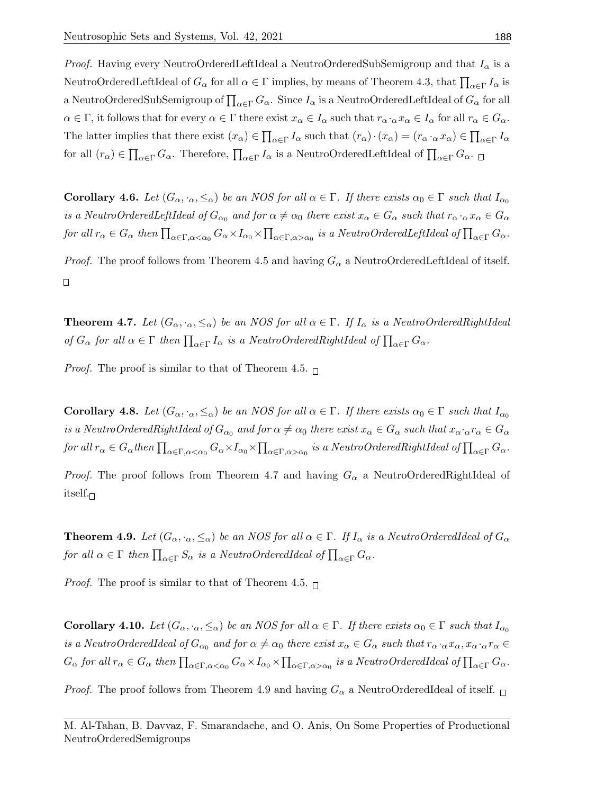*Proof.* Having every NeutroOrderedLeftIdeal a NeutroOrderedSubSemigroup and that  $I_{\alpha}$  is a NeutroOrderedLeftIdeal of  $G_\alpha$  for all  $\alpha \in \Gamma$  implies, by means of Theorem 4.3, that  $\prod_{\alpha \in \Gamma} I_\alpha$  is a NeutroOrderedSubSemigroup of  $\prod_{\alpha\in \Gamma}G_\alpha.$  Since  $I_\alpha$  is a NeutroOrderedLeftIdeal of  $G_\alpha$  for all  $\alpha \in \Gamma$ , it follows that for every  $\alpha \in \Gamma$  there exist  $x_{\alpha} \in I_{\alpha}$  such that  $r_{\alpha} \cdot_{\alpha} x_{\alpha} \in I_{\alpha}$  for all  $r_{\alpha} \in G_{\alpha}$ . The latter implies that there exist  $(x_{\alpha}) \in \prod_{\alpha \in \Gamma} I_{\alpha}$  such that  $(r_{\alpha}) \cdot (x_{\alpha}) = (r_{\alpha} \cdot \alpha x_{\alpha}) \in \prod_{\alpha \in \Gamma} I_{\alpha}$ for all  $(r_\alpha) \in \prod_{\alpha \in \Gamma} G_\alpha$ . Therefore,  $\prod_{\alpha \in \Gamma} I_\alpha$  is a NeutroOrderedLeftIdeal of  $\prod_{\alpha \in \Gamma} G_\alpha$ .

**Corollary 4.6.** Let  $(G_{\alpha}, \cdot_{\alpha}, \leq_{\alpha})$  be an NOS for all  $\alpha \in \Gamma$ . If there exists  $\alpha_0 \in \Gamma$  such that  $I_{\alpha_0}$ is a NeutroOrderedLeftIdeal of  $G_{\alpha_0}$  and for  $\alpha \neq \alpha_0$  there exist  $x_\alpha \in G_\alpha$  such that  $r_\alpha \cdot_\alpha x_\alpha \in G_\alpha$ for all  $r_{\alpha} \in G_{\alpha}$  then  $\prod_{\alpha \in \Gamma, \alpha < \alpha_0} G_{\alpha} \times I_{\alpha_0} \times \prod_{\alpha \in \Gamma, \alpha > \alpha_0}$  is a NeutroOrderedLeftIdeal of  $\prod_{\alpha \in \Gamma} G_{\alpha}$ .

*Proof.* The proof follows from Theorem 4.5 and having  $G_{\alpha}$  a NeutroOrderedLeftIdeal of itself.  $\Box$ 

**Theorem 4.7.** Let  $(G_{\alpha}, \cdot_{\alpha}, \leq_{\alpha})$  be an NOS for all  $\alpha \in \Gamma$ . If  $I_{\alpha}$  is a NeutroOrderedRightIdeal of  $G_{\alpha}$  for all  $\alpha \in \Gamma$  then  $\prod_{\alpha \in \Gamma} I_{\alpha}$  is a NeutroOrderedRightIdeal of  $\prod_{\alpha \in \Gamma} G_{\alpha}$ .

*Proof.* The proof is similar to that of Theorem 4.5.  $\Box$ 

**Corollary 4.8.** Let  $(G_\alpha, \cdot_\alpha, \leq_\alpha)$  be an NOS for all  $\alpha \in \Gamma$ . If there exists  $\alpha_0 \in \Gamma$  such that  $I_{\alpha_0}$ is a NeutroOrderedRightIdeal of  $G_{\alpha_0}$  and for  $\alpha \neq \alpha_0$  there exist  $x_\alpha \in G_\alpha$  such that  $x_\alpha \cdot \alpha r_\alpha \in G_\alpha$  ${\it for\ all\ } r_\alpha\in G_\alpha{\it then}\ \prod_{\alpha\in \Gamma, \alpha<\alpha_0}G_\alpha\times I_{\alpha_0}\times \prod_{\alpha\in \Gamma, \alpha>\alpha_0} {\it is\ a\ Neutron OrderedRightIdeal\ of} \prod_{\alpha\in \Gamma}G_\alpha.$ 

*Proof.* The proof follows from Theorem 4.7 and having  $G_{\alpha}$  a NeutroOrderedRightIdeal of itself. $\sqcap$ 

**Theorem 4.9.** Let  $(G_{\alpha}, \cdot_{\alpha}, \le_{\alpha})$  be an NOS for all  $\alpha \in \Gamma$ . If  $I_{\alpha}$  is a NeutroOrderedIdeal of  $G_{\alpha}$ for all  $\alpha \in \Gamma$  then  $\prod_{\alpha \in \Gamma} S_{\alpha}$  is a NeutroOrderedIdeal of  $\prod_{\alpha \in \Gamma} G_{\alpha}$ .

*Proof.* The proof is similar to that of Theorem 4.5.  $\Box$ 

**Corollary 4.10.** Let  $(G_\alpha, \cdot_\alpha, \leq_\alpha)$  be an NOS for all  $\alpha \in \Gamma$ . If there exists  $\alpha_0 \in \Gamma$  such that  $I_{\alpha_0}$ is a NeutroOrderedIdeal of  $G_{\alpha_0}$  and for  $\alpha \neq \alpha_0$  there exist  $x_\alpha \in G_\alpha$  such that  $r_\alpha \cdot_\alpha x_\alpha, x_\alpha \cdot_\alpha r_\alpha \in G_\alpha$  $G_{\alpha}$  for all  $r_{\alpha} \in G_{\alpha}$  then  $\prod_{\alpha \in \Gamma, \alpha < \alpha_0} G_{\alpha} \times I_{\alpha_0} \times \prod_{\alpha \in \Gamma, \alpha > \alpha_0}$  is a NeutroOrderedIdeal of  $\prod_{\alpha \in \Gamma} G_{\alpha}$ .

*Proof.* The proof follows from Theorem 4.9 and having  $G_{\alpha}$  a NeutroOrderedIdeal of itself.  $\Box$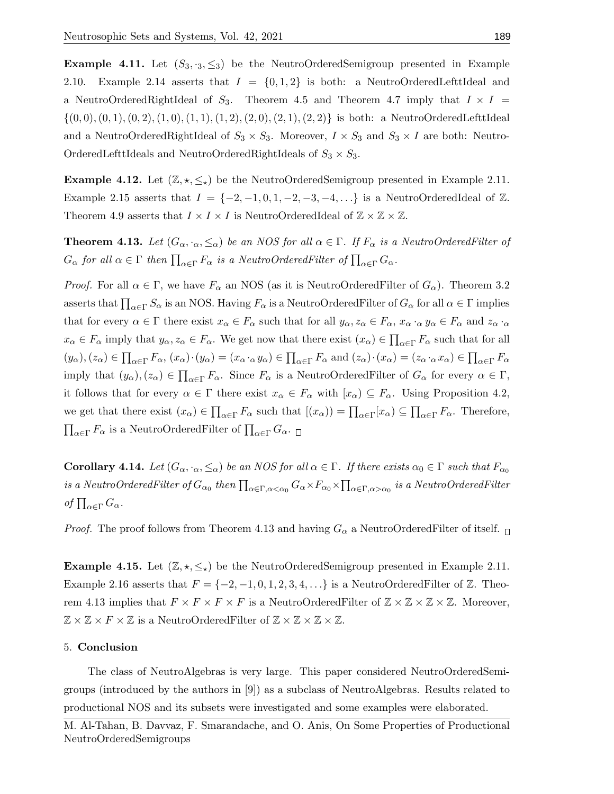**Example 4.11.** Let  $(S_3, S_3)$  be the NeutroOrderedSemigroup presented in Example 2.10. Example 2.14 asserts that  $I = \{0, 1, 2\}$  is both: a NeutroOrderedLefttIdeal and a NeutroOrderedRightIdeal of  $S_3$ . Theorem 4.5 and Theorem 4.7 imply that  $I \times I$  $\{(0,0), (0,1), (0,2), (1,0), (1,1), (1,2), (2,0), (2,1), (2,2)\}\$ is both: a NeutroOrderedLefttIdeal and a NeutroOrderedRightIdeal of  $S_3 \times S_3$ . Moreover,  $I \times S_3$  and  $S_3 \times I$  are both: Neutro-OrderedLefttIdeals and NeutroOrderedRightIdeals of  $S_3 \times S_3$ .

**Example 4.12.** Let  $(\mathbb{Z}, \star, \leq_{\star})$  be the NeutroOrderedSemigroup presented in Example 2.11. Example 2.15 asserts that  $I = \{-2, -1, 0, 1, -2, -3, -4, \ldots\}$  is a NeutroOrderedIdeal of Z. Theorem 4.9 asserts that  $I \times I \times I$  is NeutroOrderedIdeal of  $\mathbb{Z} \times \mathbb{Z} \times \mathbb{Z}$ .

**Theorem 4.13.** Let  $(G_\alpha, \cdot_\alpha, \leq_\alpha)$  be an NOS for all  $\alpha \in \Gamma$ . If  $F_\alpha$  is a NeutroOrderedFilter of  $G_{\alpha}$  for all  $\alpha \in \Gamma$  then  $\prod_{\alpha \in \Gamma} F_{\alpha}$  is a NeutroOrderedFilter of  $\prod_{\alpha \in \Gamma} G_{\alpha}$ .

*Proof.* For all  $\alpha \in \Gamma$ , we have  $F_{\alpha}$  an NOS (as it is NeutroOrderedFilter of  $G_{\alpha}$ ). Theorem 3.2 asserts that  $\prod_{\alpha\in\Gamma}S_\alpha$  is an NOS. Having  $F_\alpha$  is a NeutroOrderedFilter of  $G_\alpha$  for all  $\alpha\in\Gamma$  implies that for every  $\alpha \in \Gamma$  there exist  $x_{\alpha} \in F_{\alpha}$  such that for all  $y_{\alpha}, z_{\alpha} \in F_{\alpha}, x_{\alpha} \cdot_{\alpha} y_{\alpha} \in F_{\alpha}$  and  $z_{\alpha} \cdot_{\alpha}$  $x_{\alpha} \in F_{\alpha}$  imply that  $y_{\alpha}, z_{\alpha} \in F_{\alpha}$ . We get now that there exist  $(x_{\alpha}) \in \prod_{\alpha \in \Gamma} F_{\alpha}$  such that for all  $(y_{\alpha}), (z_{\alpha}) \in \prod_{\alpha \in \Gamma} F_{\alpha}, (x_{\alpha}) \cdot (y_{\alpha}) = (x_{\alpha} \cdot \alpha y_{\alpha}) \in \prod_{\alpha \in \Gamma} F_{\alpha}$  and  $(z_{\alpha}) \cdot (x_{\alpha}) = (z_{\alpha} \cdot \alpha x_{\alpha}) \in \prod_{\alpha \in \Gamma} F_{\alpha}$ imply that  $(y_\alpha), (z_\alpha) \in \prod_{\alpha \in \Gamma} F_\alpha$ . Since  $F_\alpha$  is a NeutroOrderedFilter of  $G_\alpha$  for every  $\alpha \in \Gamma$ , it follows that for every  $\alpha \in \Gamma$  there exist  $x_{\alpha} \in F_{\alpha}$  with  $[x_{\alpha}) \subseteq F_{\alpha}$ . Using Proposition 4.2, we get that there exist  $(x_{\alpha}) \in \prod_{\alpha \in \Gamma} F_{\alpha}$  such that  $[(x_{\alpha})) = \prod_{\alpha \in \Gamma} [x_{\alpha}) \subseteq \prod_{\alpha \in \Gamma} F_{\alpha}$ . Therefore,  $\prod_{\alpha \in \Gamma} F_{\alpha}$  is a NeutroOrderedFilter of  $\prod_{\alpha \in \Gamma} G_{\alpha}$ .

**Corollary 4.14.** Let  $(G_\alpha, \cdot_\alpha, \leq_\alpha)$  be an NOS for all  $\alpha \in \Gamma$ . If there exists  $\alpha_0 \in \Gamma$  such that  $F_{\alpha_0}$ is a NeutroOrderedFilter of  $G_{\alpha_0}$  then  $\prod_{\alpha\in \Gamma, \alpha<\alpha_0}G_\alpha\times F_{\alpha_0}\times \prod_{\alpha\in \Gamma, \alpha>\alpha_0}$  is a NeutroOrderedFilter of  $\prod_{\alpha \in \Gamma} G_{\alpha}$ .

*Proof.* The proof follows from Theorem 4.13 and having  $G_{\alpha}$  a NeutroOrderedFilter of itself.  $\Box$ 

**Example 4.15.** Let  $(\mathbb{Z}, \star, \leq_{\star})$  be the NeutroOrderedSemigroup presented in Example 2.11. Example 2.16 asserts that  $F = \{-2, -1, 0, 1, 2, 3, 4, \ldots\}$  is a NeutroOrderedFilter of Z. Theorem 4.13 implies that  $F \times F \times F \times F$  is a NeutroOrderedFilter of  $\mathbb{Z} \times \mathbb{Z} \times \mathbb{Z} \times \mathbb{Z}$ . Moreover,  $\mathbb{Z} \times \mathbb{Z} \times F \times \mathbb{Z}$  is a NeutroOrderedFilter of  $\mathbb{Z} \times \mathbb{Z} \times \mathbb{Z} \times \mathbb{Z}$ .

### 5. Conclusion

The class of NeutroAlgebras is very large. This paper considered NeutroOrderedSemigroups (introduced by the authors in [9]) as a subclass of NeutroAlgebras. Results related to productional NOS and its subsets were investigated and some examples were elaborated.